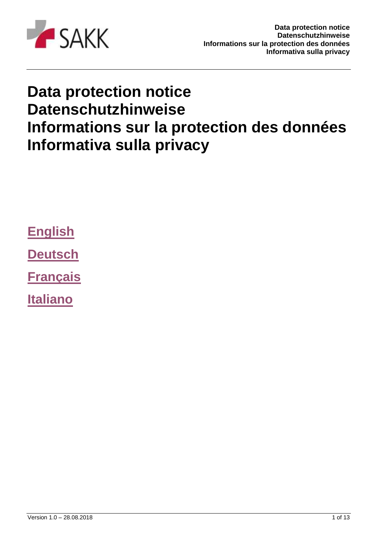

# **Data protection notice Datenschutzhinweise Informations sur la protection des données Informativa sulla privacy**

**[English](#page-1-0)**

**[Deutsch](#page-4-0)**

**[Français](#page-7-0)**

**[Italiano](#page-10-0)**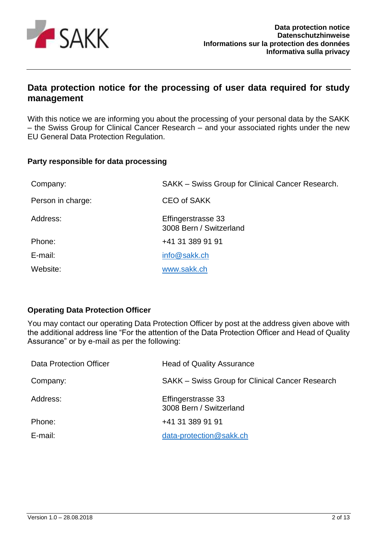

# <span id="page-1-0"></span>**Data protection notice for the processing of user data required for study management**

With this notice we are informing you about the processing of your personal data by the SAKK – the Swiss Group for Clinical Cancer Research – and your associated rights under the new EU General Data Protection Regulation.

### **Party responsible for data processing**

| Company:          | SAKK – Swiss Group for Clinical Cancer Research. |
|-------------------|--------------------------------------------------|
| Person in charge: | <b>CEO of SAKK</b>                               |
| Address:          | Effingerstrasse 33<br>3008 Bern / Switzerland    |
| Phone:            | +41 31 389 91 91                                 |
| E-mail:           | info@sakk.ch                                     |
| Website:          | www.sakk.ch                                      |

### **Operating Data Protection Officer**

You may contact our operating Data Protection Officer by post at the address given above with the additional address line "For the attention of the Data Protection Officer and Head of Quality Assurance" or by e-mail as per the following:

| Data Protection Officer | <b>Head of Quality Assurance</b>                |
|-------------------------|-------------------------------------------------|
| Company:                | SAKK – Swiss Group for Clinical Cancer Research |
| Address:                | Effingerstrasse 33<br>3008 Bern / Switzerland   |
| Phone:                  | +41 31 389 91 91                                |
| E-mail:                 | data-protection@sakk.ch                         |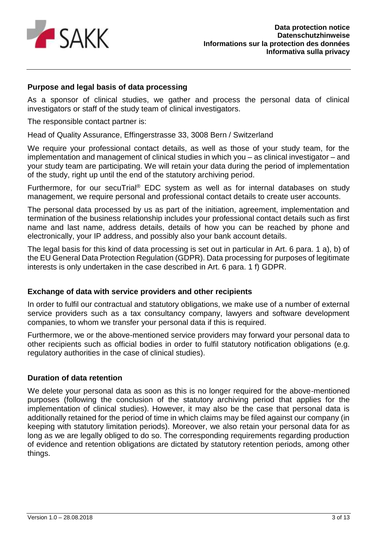

# **Purpose and legal basis of data processing**

As a sponsor of clinical studies, we gather and process the personal data of clinical investigators or staff of the study team of clinical investigators.

The responsible contact partner is:

Head of Quality Assurance, Effingerstrasse 33, 3008 Bern / Switzerland

We require your professional contact details, as well as those of your study team, for the implementation and management of clinical studies in which you – as clinical investigator – and your study team are participating. We will retain your data during the period of implementation of the study, right up until the end of the statutory archiving period.

Furthermore, for our secuTrial® EDC system as well as for internal databases on study management, we require personal and professional contact details to create user accounts.

The personal data processed by us as part of the initiation, agreement, implementation and termination of the business relationship includes your professional contact details such as first name and last name, address details, details of how you can be reached by phone and electronically, your IP address, and possibly also your bank account details.

The legal basis for this kind of data processing is set out in particular in Art. 6 para. 1 a), b) of the EU General Data Protection Regulation (GDPR). Data processing for purposes of legitimate interests is only undertaken in the case described in Art. 6 para. 1 f) GDPR.

### **Exchange of data with service providers and other recipients**

In order to fulfil our contractual and statutory obligations, we make use of a number of external service providers such as a tax consultancy company, lawyers and software development companies, to whom we transfer your personal data if this is required.

Furthermore, we or the above-mentioned service providers may forward your personal data to other recipients such as official bodies in order to fulfil statutory notification obligations (e.g. regulatory authorities in the case of clinical studies).

#### **Duration of data retention**

We delete your personal data as soon as this is no longer required for the above-mentioned purposes (following the conclusion of the statutory archiving period that applies for the implementation of clinical studies). However, it may also be the case that personal data is additionally retained for the period of time in which claims may be filed against our company (in keeping with statutory limitation periods). Moreover, we also retain your personal data for as long as we are legally obliged to do so. The corresponding requirements regarding production of evidence and retention obligations are dictated by statutory retention periods, among other things.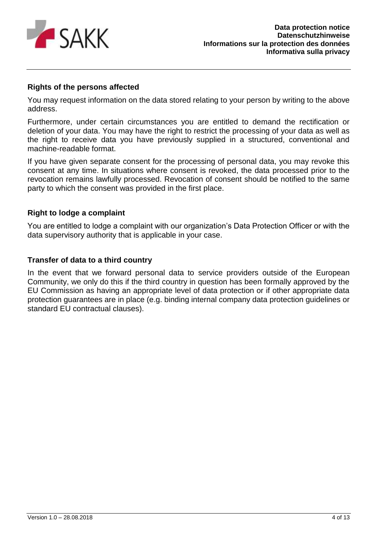

# **Rights of the persons affected**

You may request information on the data stored relating to your person by writing to the above address.

Furthermore, under certain circumstances you are entitled to demand the rectification or deletion of your data. You may have the right to restrict the processing of your data as well as the right to receive data you have previously supplied in a structured, conventional and machine-readable format.

If you have given separate consent for the processing of personal data, you may revoke this consent at any time. In situations where consent is revoked, the data processed prior to the revocation remains lawfully processed. Revocation of consent should be notified to the same party to which the consent was provided in the first place.

### **Right to lodge a complaint**

You are entitled to lodge a complaint with our organization's Data Protection Officer or with the data supervisory authority that is applicable in your case.

# **Transfer of data to a third country**

In the event that we forward personal data to service providers outside of the European Community, we only do this if the third country in question has been formally approved by the EU Commission as having an appropriate level of data protection or if other appropriate data protection guarantees are in place (e.g. binding internal company data protection guidelines or standard EU contractual clauses).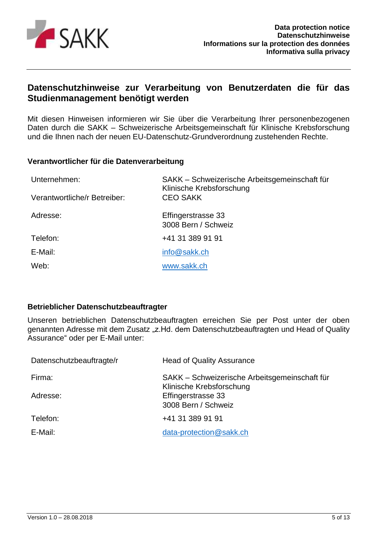

# <span id="page-4-0"></span>**Datenschutzhinweise zur Verarbeitung von Benutzerdaten die für das Studienmanagement benötigt werden**

Mit diesen Hinweisen informieren wir Sie über die Verarbeitung Ihrer personenbezogenen Daten durch die SAKK – Schweizerische Arbeitsgemeinschaft für Klinische Krebsforschung und die Ihnen nach der neuen EU-Datenschutz-Grundverordnung zustehenden Rechte.

#### **Verantwortlicher für die Datenverarbeitung**

| Unternehmen:                 | SAKK - Schweizerische Arbeitsgemeinschaft für<br>Klinische Krebsforschung |
|------------------------------|---------------------------------------------------------------------------|
| Verantwortliche/r Betreiber: | <b>CEO SAKK</b>                                                           |
| Adresse:                     | Effingerstrasse 33<br>3008 Bern / Schweiz                                 |
| Telefon:                     | +41 31 389 91 91                                                          |
| E-Mail:                      | info@sakk.ch                                                              |
| Web:                         | www.sakk.ch                                                               |

### **Betrieblicher Datenschutzbeauftragter**

Unseren betrieblichen Datenschutzbeauftragten erreichen Sie per Post unter der oben genannten Adresse mit dem Zusatz "z.Hd. dem Datenschutzbeauftragten und Head of Quality Assurance" oder per E-Mail unter:

| Datenschutzbeauftragte/r | <b>Head of Quality Assurance</b>                                          |
|--------------------------|---------------------------------------------------------------------------|
| Firma:                   | SAKK - Schweizerische Arbeitsgemeinschaft für<br>Klinische Krebsforschung |
| Adresse:                 | Effingerstrasse 33<br>3008 Bern / Schweiz                                 |
| Telefon:                 | +41 31 389 91 91                                                          |
| E-Mail:                  | data-protection@sakk.ch                                                   |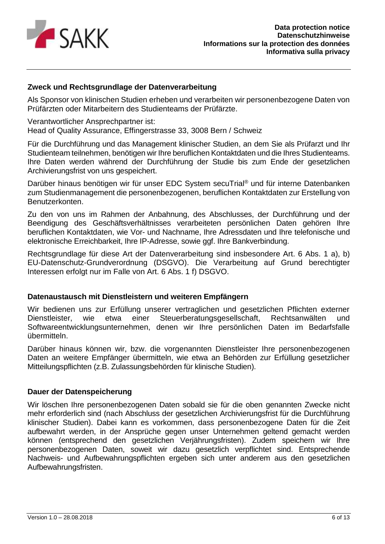

# **Zweck und Rechtsgrundlage der Datenverarbeitung**

Als Sponsor von klinischen Studien erheben und verarbeiten wir personenbezogene Daten von Prüfärzten oder Mitarbeitern des Studienteams der Prüfärzte.

Verantwortlicher Ansprechpartner ist:

Head of Quality Assurance, Effingerstrasse 33, 3008 Bern / Schweiz

Für die Durchführung und das Management klinischer Studien, an dem Sie als Prüfarzt und Ihr Studienteam teilnehmen, benötigen wir Ihre beruflichen Kontaktdaten und die Ihres Studienteams. Ihre Daten werden während der Durchführung der Studie bis zum Ende der gesetzlichen Archivierungsfrist von uns gespeichert.

Darüber hinaus benötigen wir für unser EDC System secuTrial® und für interne Datenbanken zum Studienmanagement die personenbezogenen, beruflichen Kontaktdaten zur Erstellung von Benutzerkonten.

Zu den von uns im Rahmen der Anbahnung, des Abschlusses, der Durchführung und der Beendigung des Geschäftsverhältnisses verarbeiteten persönlichen Daten gehören Ihre beruflichen Kontaktdaten, wie Vor- und Nachname, Ihre Adressdaten und Ihre telefonische und elektronische Erreichbarkeit, Ihre IP-Adresse, sowie ggf. Ihre Bankverbindung.

Rechtsgrundlage für diese Art der Datenverarbeitung sind insbesondere Art. 6 Abs. 1 a), b) EU-Datenschutz-Grundverordnung (DSGVO). Die Verarbeitung auf Grund berechtigter Interessen erfolgt nur im Falle von Art. 6 Abs. 1 f) DSGVO.

### **Datenaustausch mit Dienstleistern und weiteren Empfängern**

Wir bedienen uns zur Erfüllung unserer vertraglichen und gesetzlichen Pflichten externer Dienstleister, wie etwa einer Steuerberatungsgesellschaft, Rechtsanwälten und Softwareentwicklungsunternehmen, denen wir Ihre persönlichen Daten im Bedarfsfalle übermitteln.

Darüber hinaus können wir, bzw. die vorgenannten Dienstleister Ihre personenbezogenen Daten an weitere Empfänger übermitteln, wie etwa an Behörden zur Erfüllung gesetzlicher Mitteilungspflichten (z.B. Zulassungsbehörden für klinische Studien).

#### **Dauer der Datenspeicherung**

Wir löschen Ihre personenbezogenen Daten sobald sie für die oben genannten Zwecke nicht mehr erforderlich sind (nach Abschluss der gesetzlichen Archivierungsfrist für die Durchführung klinischer Studien). Dabei kann es vorkommen, dass personenbezogene Daten für die Zeit aufbewahrt werden, in der Ansprüche gegen unser Unternehmen geltend gemacht werden können (entsprechend den gesetzlichen Verjährungsfristen). Zudem speichern wir Ihre personenbezogenen Daten, soweit wir dazu gesetzlich verpflichtet sind. Entsprechende Nachweis- und Aufbewahrungspflichten ergeben sich unter anderem aus den gesetzlichen Aufbewahrungsfristen.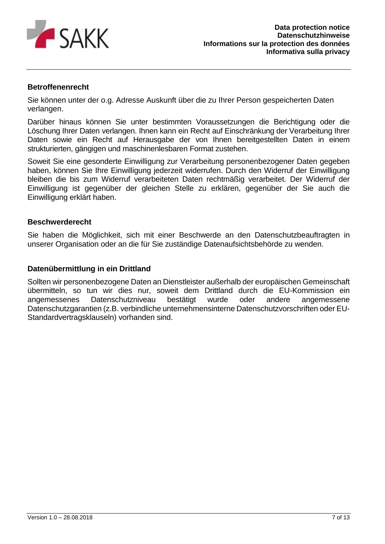

# **Betroffenenrecht**

Sie können unter der o.g. Adresse Auskunft über die zu Ihrer Person gespeicherten Daten verlangen.

Darüber hinaus können Sie unter bestimmten Voraussetzungen die Berichtigung oder die Löschung Ihrer Daten verlangen. Ihnen kann ein Recht auf Einschränkung der Verarbeitung Ihrer Daten sowie ein Recht auf Herausgabe der von Ihnen bereitgestellten Daten in einem strukturierten, gängigen und maschinenlesbaren Format zustehen.

Soweit Sie eine gesonderte Einwilligung zur Verarbeitung personenbezogener Daten gegeben haben, können Sie Ihre Einwilligung jederzeit widerrufen. Durch den Widerruf der Einwilligung bleiben die bis zum Widerruf verarbeiteten Daten rechtmäßig verarbeitet. Der Widerruf der Einwilligung ist gegenüber der gleichen Stelle zu erklären, gegenüber der Sie auch die Einwilligung erklärt haben.

#### **Beschwerderecht**

Sie haben die Möglichkeit, sich mit einer Beschwerde an den Datenschutzbeauftragten in unserer Organisation oder an die für Sie zuständige Datenaufsichtsbehörde zu wenden.

### **Datenübermittlung in ein Drittland**

Sollten wir personenbezogene Daten an Dienstleister außerhalb der europäischen Gemeinschaft übermitteln, so tun wir dies nur, soweit dem Drittland durch die EU-Kommission ein angemessenes Datenschutzniveau bestätigt wurde oder andere angemessene Datenschutzgarantien (z.B. verbindliche unternehmensinterne Datenschutzvorschriften oder EU-Standardvertragsklauseln) vorhanden sind.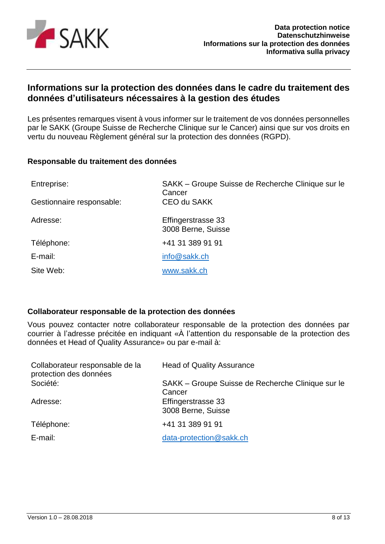

# <span id="page-7-0"></span>**Informations sur la protection des données dans le cadre du traitement des données d'utilisateurs nécessaires à la gestion des études**

Les présentes remarques visent à vous informer sur le traitement de vos données personnelles par le SAKK (Groupe Suisse de Recherche Clinique sur le Cancer) ainsi que sur vos droits en vertu du nouveau Règlement général sur la protection des données (RGPD).

### **Responsable du traitement des données**

| Entreprise:               | SAKK – Groupe Suisse de Recherche Clinique sur le<br>Cancer |
|---------------------------|-------------------------------------------------------------|
| Gestionnaire responsable: | <b>CEO du SAKK</b>                                          |
| Adresse:                  | Effingerstrasse 33<br>3008 Berne, Suisse                    |
| Téléphone:                | +41 31 389 91 91                                            |
| E-mail:                   | info@sakk.ch                                                |
| Site Web:                 | www.sakk.ch                                                 |

### **Collaborateur responsable de la protection des données**

Vous pouvez contacter notre collaborateur responsable de la protection des données par courrier à l'adresse précitée en indiquant «À l'attention du responsable de la protection des données et Head of Quality Assurance» ou par e-mail à:

| Collaborateur responsable de la<br>protection des données | <b>Head of Quality Assurance</b>                            |
|-----------------------------------------------------------|-------------------------------------------------------------|
| Société:                                                  | SAKK – Groupe Suisse de Recherche Clinique sur le<br>Cancer |
| Adresse:                                                  | Effingerstrasse 33                                          |
|                                                           | 3008 Berne, Suisse                                          |
| Téléphone:                                                | +41 31 389 91 91                                            |
| E-mail:                                                   | data-protection@sakk.ch                                     |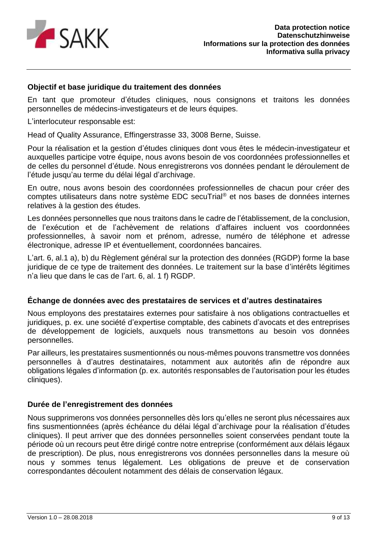

### **Objectif et base juridique du traitement des données**

En tant que promoteur d'études cliniques, nous consignons et traitons les données personnelles de médecins-investigateurs et de leurs équipes.

L'interlocuteur responsable est:

Head of Quality Assurance, Effingerstrasse 33, 3008 Berne, Suisse.

Pour la réalisation et la gestion d'études cliniques dont vous êtes le médecin-investigateur et auxquelles participe votre équipe, nous avons besoin de vos coordonnées professionnelles et de celles du personnel d'étude. Nous enregistrerons vos données pendant le déroulement de l'étude jusqu'au terme du délai légal d'archivage.

En outre, nous avons besoin des coordonnées professionnelles de chacun pour créer des comptes utilisateurs dans notre système EDC secuTrial® et nos bases de données internes relatives à la gestion des études.

Les données personnelles que nous traitons dans le cadre de l'établissement, de la conclusion, de l'exécution et de l'achèvement de relations d'affaires incluent vos coordonnées professionnelles, à savoir nom et prénom, adresse, numéro de téléphone et adresse électronique, adresse IP et éventuellement, coordonnées bancaires.

L'art. 6, al.1 a), b) du Règlement général sur la protection des données (RGDP) forme la base juridique de ce type de traitement des données. Le traitement sur la base d'intérêts légitimes n'a lieu que dans le cas de l'art. 6, al. 1 f) RGDP.

### **Échange de données avec des prestataires de services et d'autres destinataires**

Nous employons des prestataires externes pour satisfaire à nos obligations contractuelles et juridiques, p. ex. une société d'expertise comptable, des cabinets d'avocats et des entreprises de développement de logiciels, auxquels nous transmettons au besoin vos données personnelles.

Par ailleurs, les prestataires susmentionnés ou nous-mêmes pouvons transmettre vos données personnelles à d'autres destinataires, notamment aux autorités afin de répondre aux obligations légales d'information (p. ex. autorités responsables de l'autorisation pour les études cliniques).

### **Durée de l'enregistrement des données**

Nous supprimerons vos données personnelles dès lors qu'elles ne seront plus nécessaires aux fins susmentionnées (après échéance du délai légal d'archivage pour la réalisation d'études cliniques). Il peut arriver que des données personnelles soient conservées pendant toute la période où un recours peut être dirigé contre notre entreprise (conformément aux délais légaux de prescription). De plus, nous enregistrerons vos données personnelles dans la mesure où nous y sommes tenus légalement. Les obligations de preuve et de conservation correspondantes découlent notamment des délais de conservation légaux.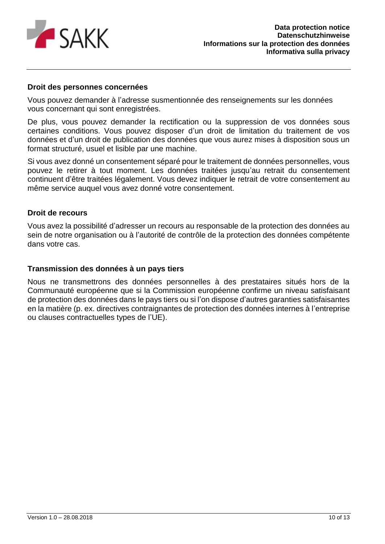

#### **Droit des personnes concernées**

Vous pouvez demander à l'adresse susmentionnée des renseignements sur les données vous concernant qui sont enregistrées.

De plus, vous pouvez demander la rectification ou la suppression de vos données sous certaines conditions. Vous pouvez disposer d'un droit de limitation du traitement de vos données et d'un droit de publication des données que vous aurez mises à disposition sous un format structuré, usuel et lisible par une machine.

Si vous avez donné un consentement séparé pour le traitement de données personnelles, vous pouvez le retirer à tout moment. Les données traitées jusqu'au retrait du consentement continuent d'être traitées légalement. Vous devez indiquer le retrait de votre consentement au même service auquel vous avez donné votre consentement.

#### **Droit de recours**

Vous avez la possibilité d'adresser un recours au responsable de la protection des données au sein de notre organisation ou à l'autorité de contrôle de la protection des données compétente dans votre cas.

#### **Transmission des données à un pays tiers**

Nous ne transmettrons des données personnelles à des prestataires situés hors de la Communauté européenne que si la Commission européenne confirme un niveau satisfaisant de protection des données dans le pays tiers ou si l'on dispose d'autres garanties satisfaisantes en la matière (p. ex. directives contraignantes de protection des données internes à l'entreprise ou clauses contractuelles types de l'UE).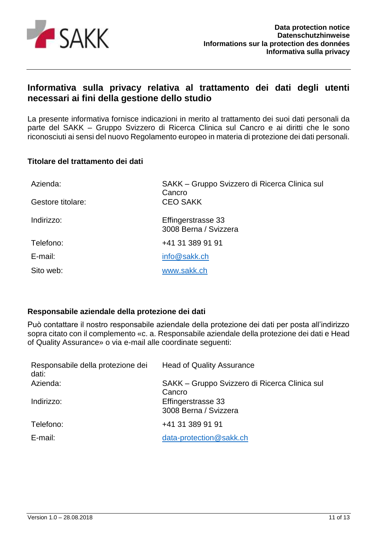

# <span id="page-10-0"></span>**Informativa sulla privacy relativa al trattamento dei dati degli utenti necessari ai fini della gestione dello studio**

La presente informativa fornisce indicazioni in merito al trattamento dei suoi dati personali da parte del SAKK – Gruppo Svizzero di Ricerca Clinica sul Cancro e ai diritti che le sono riconosciuti ai sensi del nuovo Regolamento europeo in materia di protezione dei dati personali.

### **Titolare del trattamento dei dati**

| Azienda:          | SAKK – Gruppo Svizzero di Ricerca Clinica sul<br>Cancro |
|-------------------|---------------------------------------------------------|
| Gestore titolare: | <b>CEO SAKK</b>                                         |
| Indirizzo:        | Effingerstrasse 33<br>3008 Berna / Svizzera             |
| Telefono:         | +41 31 389 91 91                                        |
| E-mail:           | info@sakk.ch                                            |
| Sito web:         | www.sakk.ch                                             |

# **Responsabile aziendale della protezione dei dati**

Può contattare il nostro responsabile aziendale della protezione dei dati per posta all'indirizzo sopra citato con il complemento «c. a. Responsabile aziendale della protezione dei dati e Head of Quality Assurance» o via e-mail alle coordinate seguenti:

| Responsabile della protezione dei<br>dati: | <b>Head of Quality Assurance</b>                        |
|--------------------------------------------|---------------------------------------------------------|
| Azienda:                                   | SAKK – Gruppo Svizzero di Ricerca Clinica sul<br>Cancro |
| Indirizzo:                                 | Effingerstrasse 33<br>3008 Berna / Svizzera             |
| Telefono:                                  | +41 31 389 91 91                                        |
| E-mail:                                    | data-protection@sakk.ch                                 |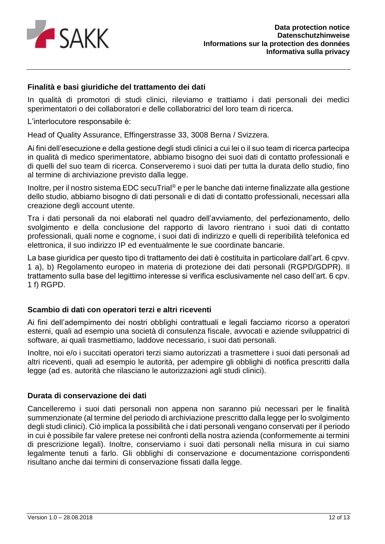

# **Finalità e basi giuridiche del trattamento dei dati**

In qualità di promotori di studi clinici, rileviamo e trattiamo i dati personali dei medici sperimentatori o dei collaboratori e delle collaboratrici del loro team di ricerca.

L'interlocutore responsabile è:

Head of Quality Assurance, Effingerstrasse 33, 3008 Berna / Svizzera.

Ai fini dell'esecuzione e della gestione degli studi clinici a cui lei o il suo team di ricerca partecipa in qualità di medico sperimentatore, abbiamo bisogno dei suoi dati di contatto professionali e di quelli del suo team di ricerca. Conserveremo i suoi dati per tutta la durata dello studio, fino al termine di archiviazione previsto dalla legge.

Inoltre, per il nostro sistema EDC secuTrial® e per le banche dati interne finalizzate alla gestione dello studio, abbiamo bisogno di dati personali e di dati di contatto professionali, necessari alla creazione degli account utente.

Tra i dati personali da noi elaborati nel quadro dell'avviamento, del perfezionamento, dello svolgimento e della conclusione del rapporto di lavoro rientrano i suoi dati di contatto professionali, quali nome e cognome, i suoi dati di indirizzo e quelli di reperibilità telefonica ed elettronica, il suo indirizzo IP ed eventualmente le sue coordinate bancarie.

La base giuridica per questo tipo di trattamento dei dati è costituita in particolare dall'art. 6 cpvv. 1 a), b) Regolamento europeo in materia di protezione dei dati personali (RGPD/GDPR). Il trattamento sulla base del legittimo interesse si verifica esclusivamente nel caso dell'art. 6 cpv. 1 f) RGPD.

### **Scambio di dati con operatori terzi e altri riceventi**

Ai fini dell'adempimento dei nostri obblighi contrattuali e legali facciamo ricorso a operatori esterni, quali ad esempio una società di consulenza fiscale, avvocati e aziende sviluppatrici di software, ai quali trasmettiamo, laddove necessario, i suoi dati personali.

Inoltre, noi e/o i succitati operatori terzi siamo autorizzati a trasmettere i suoi dati personali ad altri riceventi, quali ad esempio le autorità, per adempire gli obblighi di notifica prescritti dalla legge (ad es. autorità che rilasciano le autorizzazioni agli studi clinici).

#### **Durata di conservazione dei dati**

Cancelleremo i suoi dati personali non appena non saranno più necessari per le finalità summenzionate (al termine del periodo di archiviazione prescritto dalla legge per lo svolgimento degli studi clinici). Ciò implica la possibilità che i dati personali vengano conservati per il periodo in cui è possibile far valere pretese nei confronti della nostra azienda (conformemente ai termini di prescrizione legali). Inoltre, conserviamo i suoi dati personali nella misura in cui siamo legalmente tenuti a farlo. Gli obblighi di conservazione e documentazione corrispondenti risultano anche dai termini di conservazione fissati dalla legge.